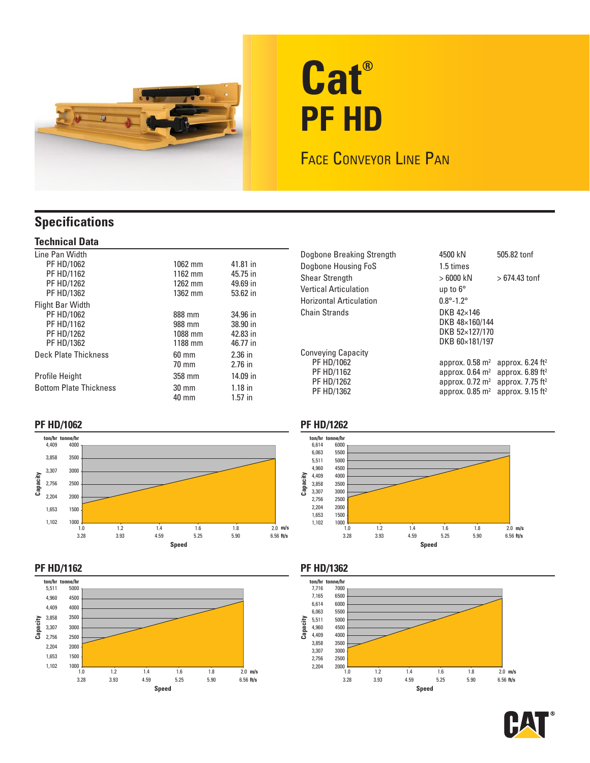

# **Cat® PF HD**

## FACE CONVEYOR LINE PAN

## **Specifications**

#### **Technical Data**

| 1062 mm         | 41.81 in  |
|-----------------|-----------|
| 1162 mm         | 45.75 in  |
| $1262$ mm       | 49.69 in  |
| 1362 mm         | 53.62 in  |
|                 |           |
| 888 mm          | 34.96 in  |
| 988 mm          | 38.90 in  |
| 1088 mm         | 42.83 in  |
| 1188 mm         | 46.77 in  |
| $60 \text{ mm}$ | $2.36$ in |
| $70 \text{ mm}$ | $2.76$ in |
| 358 mm          | 14.09 in  |
| $30 \text{ mm}$ | $1.18$ in |
| 40 mm           | $1.57$ in |
|                 |           |

| Dogbone Breaking Strength | 4500 kN<br>505.82 tonf                                          |  |
|---------------------------|-----------------------------------------------------------------|--|
| Dogbone Housing FoS       | 1.5 times                                                       |  |
| Shear Strength            | $>6000$ kN<br>$>674.43$ tonf                                    |  |
| Vertical Articulation     | up to $6^{\circ}$                                               |  |
| Horizontal Articulation   | $0.8^{\circ}$ -1.2 $^{\circ}$                                   |  |
| <b>Chain Strands</b>      | DKB $42\times146$                                               |  |
|                           | DKB 48×160/144                                                  |  |
|                           | DKB 52×127/170                                                  |  |
|                           | DKB 60×181/197                                                  |  |
| Conveying Capacity        |                                                                 |  |
| PF HD/1062                | approx. $0.58$ m <sup>2</sup><br>approx. $6.24$ ft <sup>2</sup> |  |
| PF HD/1162                | approx. $0.64 \text{ m}^2$<br>approx. $6.89$ ft <sup>2</sup>    |  |
| PF HD/1262                | approx. $0.72 \text{ m}^2$<br>approx. $7.75$ ft <sup>2</sup>    |  |
| PF HD/1362                | approx. $0.85$ m <sup>2</sup><br>approx. $9.15$ ft <sup>2</sup> |  |

#### **PF HD/1062**





### **PF HD/1262**